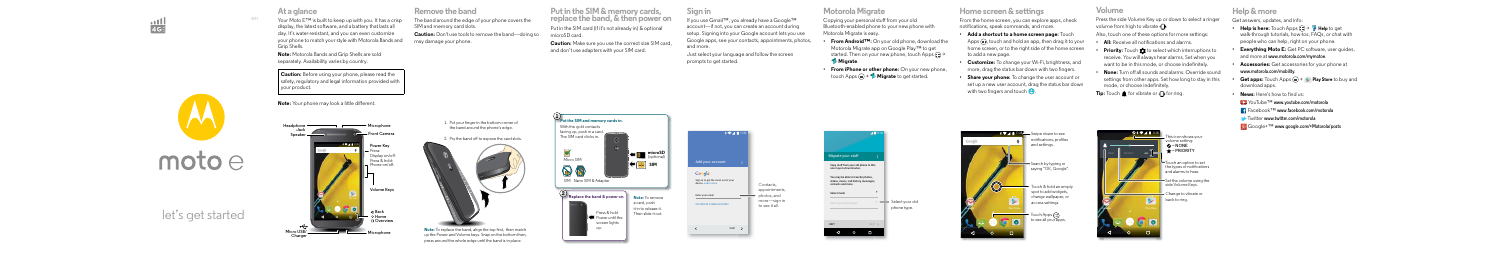# $\frac{1}{4}$

# $\text{moto} \ominus$

en

# let's get started



Your Moto E™ is built to keep up with you. It has a crisp display, the latest software, and a battery that lasts all day. It's water-resistant, and you can even customize your phone to match your style with Motorola Bands and Grip Shells.

**Note:** Motorola Bands and Grip Shells are sold separately. Availability varies by country.

**Note:** Your phone may look a little different.

**Caution:** Before using your phone, please read the safety, regulatory and legal information provided with your product.

> 1. Put your finger in the bottom corner of the band around the phone's edge.

2. Pry the band off to expose the card slots.



Note: To replace the band, align the top first, then match up the Power and Volume keys. Snap on the bottom then, press around the whole edge until the band is in place.



**Start Remove the band**

The band around the edge of your phone covers the SIM and memory card slots.

**Caution:** Don't use tools to remove the band—doing so may damage your phone.

**Put in the SIM & memory cards, replace the band, & then power on**

Put in the SIM card (if it's not already in) & optional microSD card.

**Caution:** Make sure you use the correct size SIM card, and don't use adapters with your SIM card.

- **Add a shortcut to a home screen page:** Touch Apps (...), touch and hold an app, then drag it to your home screen, or to the right side of the home screen to add a new page.
- **Customize:** To change your Wi-Fi, brightness, and more, drag the status bar down with two fingers.
- **Share your phone:** To change the user account or set up a new user account, drag the status bar down with two fingers and touch  $\bigcirc$



#### **Sign in**

Press the side Volume Key up or down to select a ringer volume from high to vibrate  $\mathbb H$ .

If you use Gmail™, you already have a Google™ account—if not, you can create an account during setup. Signing into your Google account lets you use Google apps, see your contacts, appointments, photos, and more.

Just select your language and follow the screen prompts to get started.

11:35

Set the volume using the side Volume Keys.

Change to vibrate or

Sign in to get the most out of your OR CREATE A NEW ACCOUNT Add your account SKIP<sup>3</sup> Contacts, appointments, photos, and more—sign in to see it all.

#### **Motorola Migrate**

Copying your personal stuff from your old Bluetooth-enabled phone to your new phone with Motorola Migrate is easy.

- **From Android™:** On your old phone, download the Motorola Migrate app on Google Play™ to get started. Then on your new phone, touch Apps  $\left(\frac{m}{n}\right)$  **Migrate**.
- **From iPhone or other phone:** On your new phone, touch Apps > **Migrate** to get started.

## **Home screen & settings**



From the home screen, you can explore apps, check notifications, speak commands, and more.



### **Volume**

Also, touch one of these options for more settings:

- **All:** Receive all notifications and alarms.
- **Priority:** Touch  $\hat{\Omega}$  to select which interruptions to receive. You will always hear alarms. Set when you want to be in this mode, or choose indefinitely.
- **None:** Turn off all sounds and alarms. Override sound settings from other apps. Set how long to stay in this mode, or choose indefinitely.

**Tip:** Touch **for vibrate or**  $\Box$  **for ring.** 

# **Help & more**



Touch an option to set the types of notifications and alarms to hear.

This icon shows your volume setting:  $\Omega = NONE$ = **PRIORITY**

Get answers, updates, and info:

- **Help is here:**  $T_{\text{OUC}}$  Apps  $\text{m} \rightarrow \text{N}$  Help to get walk-through tutorials, how-tos, FAQs, or chat with people who can help, right on your phone.
- **Everything Moto E:** Get PC software, user guides, and more at **www.motorola.com/mymotoe**.
- **Accessories:** Get accessories for your phone at **www.motorola.com/mobility**.
- **Get apps:** Touch Apps (**;;;) > Play Store** to buy and download apps.
- **News:** Here's how to find us:

■★ YouTube<sup>™</sup> www.youtube.com/motorola

Facebook™ **www.facebook.com/motorola**

Twitter **www.twitter.com/motorola**

Google+™ **www.google.com/+Motorola/posts**